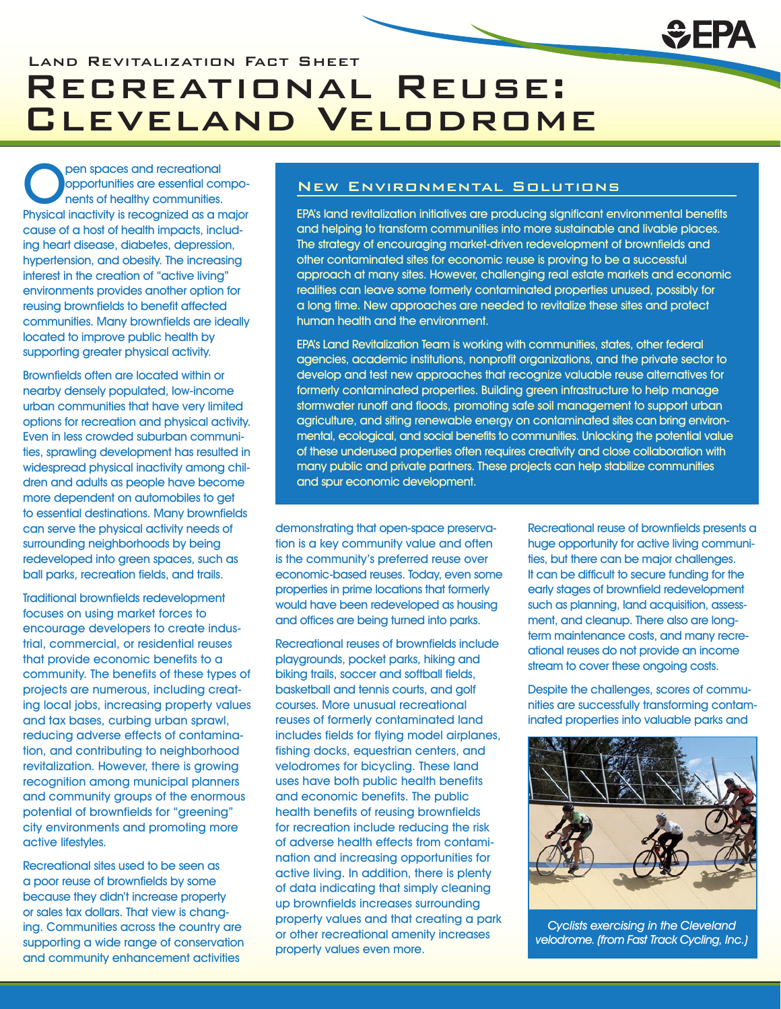## Recreational Reuse: Cleveland Velodrome

**Open spaces and recreational<br>
opportunities are essential contrats of healthy communities.**<br> **Physical inactivity is recognized as a m** opportunities are essential components of healthy communities. Physical inactivity is recognized as a major cause of a host of health impacts, including heart disease, diabetes, depression, hypertension, and obesity. The increasing interest in the creation of "active living" environments provides another option for reusing brownfields to benefit affected communities. Many brownfields are ideally located to improve public health by supporting greater physical activity.

Brownfields often are located within or nearby densely populated, low-income urban communities that have very limited options for recreation and physical activity. Even in less crowded suburban communities, sprawling development has resulted in widespread physical inactivity among children and adults as people have become more dependent on automobiles to get to essential destinations. Many brownfields can serve the physical activity needs of surrounding neighborhoods by being redeveloped into green spaces, such as ball parks, recreation fields, and trails.

Traditional brownfields redevelopment focuses on using market forces to encourage developers to create industrial, commercial, or residential reuses that provide economic benefits to a community. The benefits of these types of projects are numerous, including creating local jobs, increasing property values and tax bases, curbing urban sprawl, reducing adverse effects of contamination, and contributing to neighborhood revitalization. However, there is growing recognition among municipal planners and community groups of the enormous potential of brownfields for "greening" city environments and promoting more active lifestyles.

Recreational sites used to be seen as a poor reuse of brownfields by some because they didn't increase property or sales tax dollars. That view is changing. Communities across the country are supporting a wide range of conservation and community enhancement activities

## New Environmental Solutions

EPA's land revitalization initiatives are producing significant environmental benefits and helping to transform communities into more sustainable and livable places. The strategy of encouraging market-driven redevelopment of brownfields and other contaminated sites for economic reuse is proving to be a successful approach at many sites. However, challenging real estate markets and economic realities can leave some formerly contaminated properties unused, possibly for a long time. New approaches are needed to revitalize these sites and protect human health and the environment.

EPA's Land Revitalization Team is working with communities, states, other federal agencies, academic institutions, nonprofit organizations, and the private sector to develop and test new approaches that recognize valuable reuse alternatives for formerly contaminated properties. Building green infrastructure to help manage stormwater runoff and floods, promoting safe soil management to support urban agriculture, and siting renewable energy on contaminated sites can bring environmental, ecological, and social benefits to communities. Unlocking the potential value of these underused properties often requires creativity and close collaboration with many public and private partners. These projects can help stabilize communities and spur economic development.

demonstrating that open-space preservation is a key community value and often is the community's preferred reuse over economic-based reuses. Today, even some properties in prime locations that formerly would have been redeveloped as housing and offices are being turned into parks.

Recreational reuses of brownfields include playgrounds, pocket parks, hiking and biking trails, soccer and softball fields, basketball and tennis courts, and golf courses. More unusual recreational reuses of formerly contaminated land includes fields for flying model airplanes, fishing docks, equestrian centers, and velodromes for bicycling. These land uses have both public health benefits and economic benefits. The public health benefits of reusing brownfields for recreation include reducing the risk of adverse health effects from contamination and increasing opportunities for active living. In addition, there is plenty of data indicating that simply cleaning up brownfields increases surrounding property values and that creating a park or other recreational amenity increases property values even more.

Recreational reuse of brownfields presents a huge opportunity for active living communities, but there can be major challenges. It can be difficult to secure funding for the early stages of brownfield redevelopment such as planning, land acquisition, assessment, and cleanup. There also are longterm maintenance costs, and many recreational reuses do not provide an income stream to cover these ongoing costs.

Despite the challenges, scores of communities are successfully transforming contaminated properties into valuable parks and



Cyclists exercising in the Cleveland velodrome. (from Fast Track Cycling, Inc.)